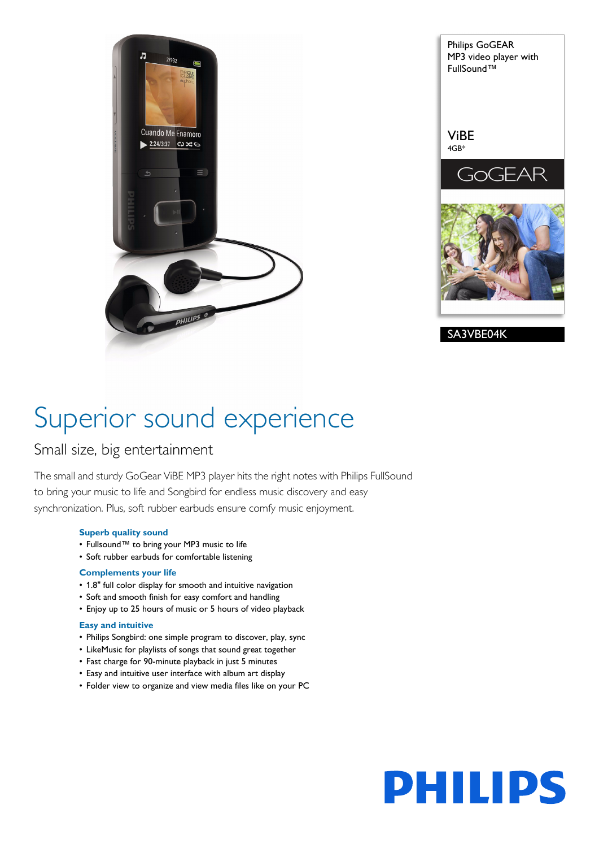

Philips GoGEAR MP3 video player with FullSound™ ViBE 4GB\* GEAR GoC SA3VBE04K

## Superior sound experience

### Small size, big entertainment

The small and sturdy GoGear ViBE MP3 player hits the right notes with Philips FullSound to bring your music to life and Songbird for endless music discovery and easy synchronization. Plus, soft rubber earbuds ensure comfy music enjoyment.

#### **Superb quality sound**

- Fullsound™ to bring your MP3 music to life
- Soft rubber earbuds for comfortable listening

#### **Complements your life**

- 1.8" full color display for smooth and intuitive navigation
- Soft and smooth finish for easy comfort and handling
- Enjoy up to 25 hours of music or 5 hours of video playback

#### **Easy and intuitive**

- Philips Songbird: one simple program to discover, play, sync
- LikeMusic for playlists of songs that sound great together
- Fast charge for 90-minute playback in just 5 minutes
- Easy and intuitive user interface with album art display
- Folder view to organize and view media files like on your PC

# **PHILIPS**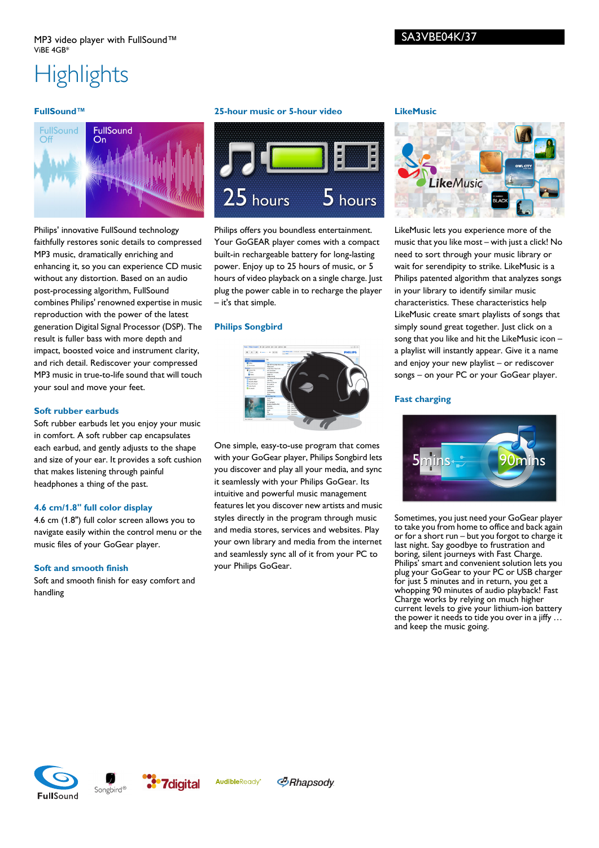### **Highlights**

#### **FullSound™**



Philips' innovative FullSound technology faithfully restores sonic details to compressed MP3 music, dramatically enriching and enhancing it, so you can experience CD music without any distortion. Based on an audio post-processing algorithm, FullSound combines Philips' renowned expertise in music reproduction with the power of the latest generation Digital Signal Processor (DSP). The result is fuller bass with more depth and impact, boosted voice and instrument clarity, and rich detail. Rediscover your compressed MP3 music in true-to-life sound that will touch your soul and move your feet.

#### **Soft rubber earbuds**

Soft rubber earbuds let you enjoy your music in comfort. A soft rubber cap encapsulates each earbud, and gently adjusts to the shape and size of your ear. It provides a soft cushion that makes listening through painful headphones a thing of the past.

#### **4.6 cm/1.8" full color display**

4.6 cm (1.8") full color screen allows you to navigate easily within the control menu or the music files of your GoGear player.

#### **Soft and smooth finish**

Soft and smooth finish for easy comfort and handling

#### **25-hour music or 5-hour video**



Philips offers you boundless entertainment. Your GoGEAR player comes with a compact built-in rechargeable battery for long-lasting power. Enjoy up to 25 hours of music, or 5 hours of video playback on a single charge. Just plug the power cable in to recharge the player – it's that simple.

#### **Philips Songbird**



One simple, easy-to-use program that comes with your GoGear player, Philips Songbird lets you discover and play all your media, and sync it seamlessly with your Philips GoGear. Its intuitive and powerful music management features let you discover new artists and music styles directly in the program through music and media stores, services and websites. Play your own library and media from the internet and seamlessly sync all of it from your PC to your Philips GoGear.

#### **LikeMusic**



LikeMusic lets you experience more of the music that you like most – with just a click! No need to sort through your music library or wait for serendipity to strike. LikeMusic is a Philips patented algorithm that analyzes songs in your library to identify similar music characteristics. These characteristics help LikeMusic create smart playlists of songs that simply sound great together. Just click on a song that you like and hit the LikeMusic icon – a playlist will instantly appear. Give it a name and enjoy your new playlist – or rediscover songs – on your PC or your GoGear player.

#### **Fast charging**



Sometimes, you just need your GoGear player to take you from home to office and back again or for a short run – but you forgot to charge it last night. Say goodbye to frustration and boring, silent journeys with Fast Charge. Philips' smart and convenient solution lets you plug your GoGear to your PC or USB charger for just 5 minutes and in return, you get a whopping 90 minutes of audio playback! Fast Charge works by relying on much higher current levels to give your lithium-ion battery the power it needs to tide you over in a jiffy … and keep the music going.